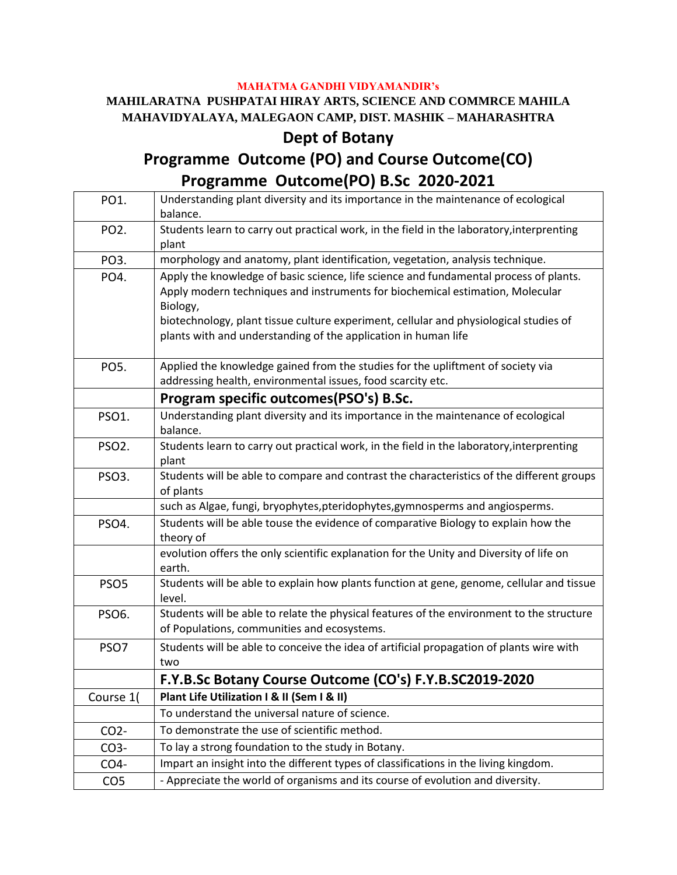## **MAHATMA GANDHI VIDYAMANDIR's**

## **MAHILARATNA PUSHPATAI HIRAY ARTS, SCIENCE AND COMMRCE MAHILA MAHAVIDYALAYA, MALEGAON CAMP, DIST. MASHIK – MAHARASHTRA**

## **Dept of Botany**

## **Programme Outcome (PO) and Course Outcome(CO) Programme Outcome(PO) B.Sc 2020-2021**

| PO1.               | Understanding plant diversity and its importance in the maintenance of ecological<br>balance.                                                                                                                                                                                                                                                 |
|--------------------|-----------------------------------------------------------------------------------------------------------------------------------------------------------------------------------------------------------------------------------------------------------------------------------------------------------------------------------------------|
| PO <sub>2</sub> .  | Students learn to carry out practical work, in the field in the laboratory, interprenting<br>plant                                                                                                                                                                                                                                            |
| PO <sub>3</sub> .  | morphology and anatomy, plant identification, vegetation, analysis technique.                                                                                                                                                                                                                                                                 |
| PO4.               | Apply the knowledge of basic science, life science and fundamental process of plants.<br>Apply modern techniques and instruments for biochemical estimation, Molecular<br>Biology,<br>biotechnology, plant tissue culture experiment, cellular and physiological studies of<br>plants with and understanding of the application in human life |
| PO5.               | Applied the knowledge gained from the studies for the upliftment of society via<br>addressing health, environmental issues, food scarcity etc.                                                                                                                                                                                                |
|                    | Program specific outcomes (PSO's) B.Sc.                                                                                                                                                                                                                                                                                                       |
| PSO1.              | Understanding plant diversity and its importance in the maintenance of ecological<br>balance.                                                                                                                                                                                                                                                 |
| PSO <sub>2</sub> . | Students learn to carry out practical work, in the field in the laboratory, interprenting<br>plant                                                                                                                                                                                                                                            |
| PSO3.              | Students will be able to compare and contrast the characteristics of the different groups<br>of plants                                                                                                                                                                                                                                        |
|                    | such as Algae, fungi, bryophytes, pteridophytes, gymnosperms and angiosperms.                                                                                                                                                                                                                                                                 |
| PSO4.              | Students will be able touse the evidence of comparative Biology to explain how the<br>theory of                                                                                                                                                                                                                                               |
|                    | evolution offers the only scientific explanation for the Unity and Diversity of life on<br>earth.                                                                                                                                                                                                                                             |
| PSO <sub>5</sub>   | Students will be able to explain how plants function at gene, genome, cellular and tissue<br>level.                                                                                                                                                                                                                                           |
| PSO6.              | Students will be able to relate the physical features of the environment to the structure<br>of Populations, communities and ecosystems.                                                                                                                                                                                                      |
| PSO <sub>7</sub>   | Students will be able to conceive the idea of artificial propagation of plants wire with<br>two                                                                                                                                                                                                                                               |
|                    | F.Y.B.Sc Botany Course Outcome (CO's) F.Y.B.SC2019-2020                                                                                                                                                                                                                                                                                       |
| Course 1(          | Plant Life Utilization I & II (Sem I & II)                                                                                                                                                                                                                                                                                                    |
|                    | To understand the universal nature of science.                                                                                                                                                                                                                                                                                                |
| CO <sub>2</sub>    | To demonstrate the use of scientific method.                                                                                                                                                                                                                                                                                                  |
| CO3-               | To lay a strong foundation to the study in Botany.                                                                                                                                                                                                                                                                                            |
| CO4-               | Impart an insight into the different types of classifications in the living kingdom.                                                                                                                                                                                                                                                          |
| CO <sub>5</sub>    | - Appreciate the world of organisms and its course of evolution and diversity.                                                                                                                                                                                                                                                                |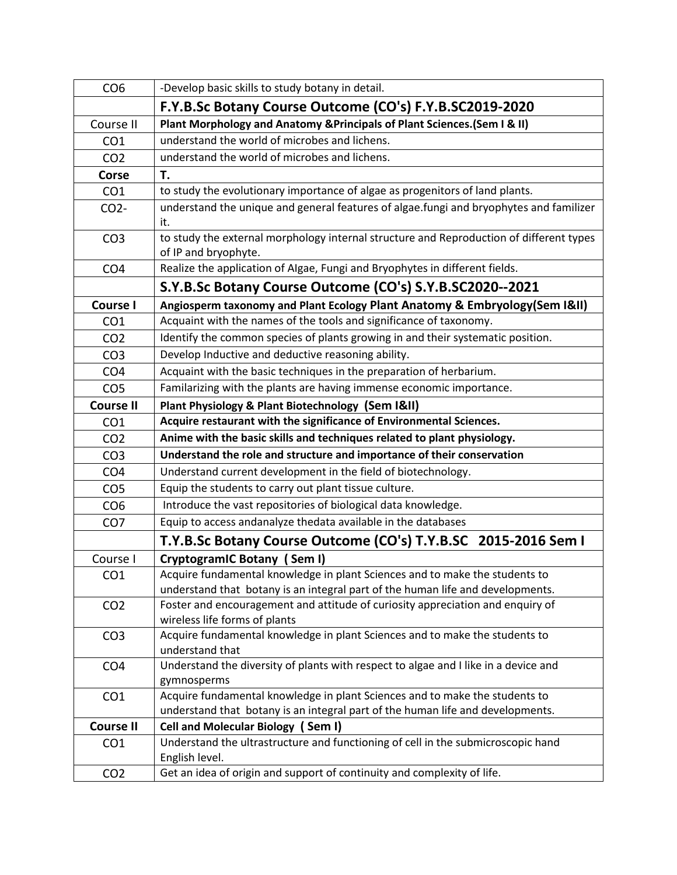| CO <sub>6</sub>  | -Develop basic skills to study botany in detail.                                               |
|------------------|------------------------------------------------------------------------------------------------|
|                  | F.Y.B.Sc Botany Course Outcome (CO's) F.Y.B.SC2019-2020                                        |
| Course II        | Plant Morphology and Anatomy & Principals of Plant Sciences. (Sem I & II)                      |
| CO <sub>1</sub>  | understand the world of microbes and lichens.                                                  |
| CO <sub>2</sub>  | understand the world of microbes and lichens.                                                  |
| Corse            | T.                                                                                             |
| CO <sub>1</sub>  | to study the evolutionary importance of algae as progenitors of land plants.                   |
| CO <sub>2</sub>  | understand the unique and general features of algae.fungi and bryophytes and familizer         |
|                  | it.                                                                                            |
| CO <sub>3</sub>  | to study the external morphology internal structure and Reproduction of different types        |
|                  | of IP and bryophyte.                                                                           |
| CO <sub>4</sub>  | Realize the application of Algae, Fungi and Bryophytes in different fields.                    |
|                  | S.Y.B.Sc Botany Course Outcome (CO's) S.Y.B.SC2020--2021                                       |
| <b>Course I</b>  | Angiosperm taxonomy and Plant Ecology Plant Anatomy & Embryology (Sem I&II)                    |
| CO <sub>1</sub>  | Acquaint with the names of the tools and significance of taxonomy.                             |
| CO <sub>2</sub>  | Identify the common species of plants growing in and their systematic position.                |
| CO <sub>3</sub>  | Develop Inductive and deductive reasoning ability.                                             |
| CO <sub>4</sub>  | Acquaint with the basic techniques in the preparation of herbarium.                            |
| CO <sub>5</sub>  | Familarizing with the plants are having immense economic importance.                           |
| <b>Course II</b> | Plant Physiology & Plant Biotechnology (Sem I&II)                                              |
| CO <sub>1</sub>  | Acquire restaurant with the significance of Environmental Sciences.                            |
| CO <sub>2</sub>  | Anime with the basic skills and techniques related to plant physiology.                        |
| CO <sub>3</sub>  | Understand the role and structure and importance of their conservation                         |
| CO <sub>4</sub>  | Understand current development in the field of biotechnology.                                  |
| CO <sub>5</sub>  | Equip the students to carry out plant tissue culture.                                          |
| CO <sub>6</sub>  | Introduce the vast repositories of biological data knowledge.                                  |
| CO <sub>7</sub>  | Equip to access andanalyze thedata available in the databases                                  |
|                  | T.Y.B.Sc Botany Course Outcome (CO's) T.Y.B.SC 2015-2016 Sem I                                 |
| Course I         | CryptogramIC Botany (Sem I)                                                                    |
| CO <sub>1</sub>  | Acquire fundamental knowledge in plant Sciences and to make the students to                    |
|                  | understand that botany is an integral part of the human life and developments.                 |
| CO <sub>2</sub>  | Foster and encouragement and attitude of curiosity appreciation and enquiry of                 |
|                  | wireless life forms of plants                                                                  |
| CO <sub>3</sub>  | Acquire fundamental knowledge in plant Sciences and to make the students to<br>understand that |
| CO <sub>4</sub>  | Understand the diversity of plants with respect to algae and I like in a device and            |
|                  | gymnosperms                                                                                    |
| CO <sub>1</sub>  | Acquire fundamental knowledge in plant Sciences and to make the students to                    |
|                  | understand that botany is an integral part of the human life and developments.                 |
| <b>Course II</b> | Cell and Molecular Biology (Sem I)                                                             |
| CO <sub>1</sub>  | Understand the ultrastructure and functioning of cell in the submicroscopic hand               |
|                  | English level.                                                                                 |
| CO <sub>2</sub>  | Get an idea of origin and support of continuity and complexity of life.                        |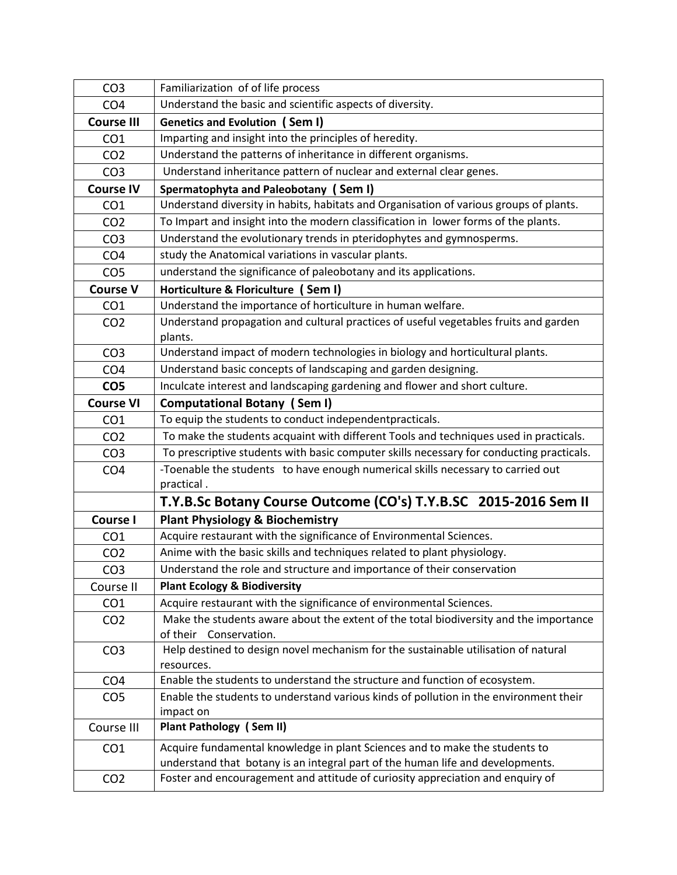| CO <sub>3</sub>   | Familiarization of of life process                                                              |
|-------------------|-------------------------------------------------------------------------------------------------|
| CO <sub>4</sub>   | Understand the basic and scientific aspects of diversity.                                       |
| <b>Course III</b> | <b>Genetics and Evolution (Sem I)</b>                                                           |
| CO <sub>1</sub>   | Imparting and insight into the principles of heredity.                                          |
| CO <sub>2</sub>   | Understand the patterns of inheritance in different organisms.                                  |
| CO <sub>3</sub>   | Understand inheritance pattern of nuclear and external clear genes.                             |
| <b>Course IV</b>  | Spermatophyta and Paleobotany (Sem I)                                                           |
| CO <sub>1</sub>   | Understand diversity in habits, habitats and Organisation of various groups of plants.          |
| CO <sub>2</sub>   | To Impart and insight into the modern classification in lower forms of the plants.              |
| CO <sub>3</sub>   | Understand the evolutionary trends in pteridophytes and gymnosperms.                            |
| CO <sub>4</sub>   | study the Anatomical variations in vascular plants.                                             |
| CO <sub>5</sub>   | understand the significance of paleobotany and its applications.                                |
| <b>Course V</b>   | Horticulture & Floriculture (Sem I)                                                             |
| CO <sub>1</sub>   | Understand the importance of horticulture in human welfare.                                     |
| CO <sub>2</sub>   | Understand propagation and cultural practices of useful vegetables fruits and garden<br>plants. |
| CO <sub>3</sub>   | Understand impact of modern technologies in biology and horticultural plants.                   |
| CO <sub>4</sub>   | Understand basic concepts of landscaping and garden designing.                                  |
| CO <sub>5</sub>   | Inculcate interest and landscaping gardening and flower and short culture.                      |
| <b>Course VI</b>  | <b>Computational Botany (Sem I)</b>                                                             |
| CO <sub>1</sub>   | To equip the students to conduct independentpracticals.                                         |
| CO <sub>2</sub>   | To make the students acquaint with different Tools and techniques used in practicals.           |
| CO <sub>3</sub>   | To prescriptive students with basic computer skills necessary for conducting practicals.        |
| CO <sub>4</sub>   | -Toenable the students to have enough numerical skills necessary to carried out<br>practical.   |
|                   | T.Y.B.Sc Botany Course Outcome (CO's) T.Y.B.SC 2015-2016 Sem II                                 |
| <b>Course I</b>   | <b>Plant Physiology &amp; Biochemistry</b>                                                      |
| CO <sub>1</sub>   | Acquire restaurant with the significance of Environmental Sciences.                             |
| CO <sub>2</sub>   | Anime with the basic skills and techniques related to plant physiology.                         |
| CO <sub>3</sub>   | Understand the role and structure and importance of their conservation                          |
| Course II         | <b>Plant Ecology &amp; Biodiversity</b>                                                         |
| CO <sub>1</sub>   | Acquire restaurant with the significance of environmental Sciences.                             |
| CO <sub>2</sub>   | Make the students aware about the extent of the total biodiversity and the importance           |
|                   | of their Conservation.                                                                          |
| CO <sub>3</sub>   | Help destined to design novel mechanism for the sustainable utilisation of natural              |
|                   | resources.                                                                                      |
| CO <sub>4</sub>   | Enable the students to understand the structure and function of ecosystem.                      |
| CO <sub>5</sub>   | Enable the students to understand various kinds of pollution in the environment their           |
|                   | impact on                                                                                       |
| Course III        | <b>Plant Pathology (Sem II)</b>                                                                 |
| CO <sub>1</sub>   | Acquire fundamental knowledge in plant Sciences and to make the students to                     |
|                   | understand that botany is an integral part of the human life and developments.                  |
| CO <sub>2</sub>   | Foster and encouragement and attitude of curiosity appreciation and enquiry of                  |